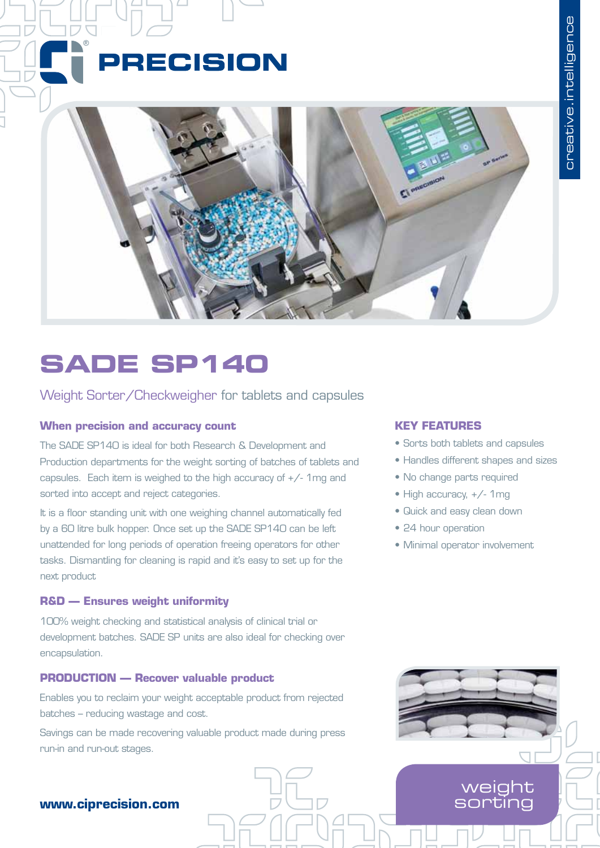# **PRECISION**



## **SADE SP140**

### Weight Sorter/Checkweigher for tablets and capsules

### **When precision and accuracy count**

The SADE SP140 is ideal for both Research & Development and Production departments for the weight sorting of batches of tablets and capsules. Each item is weighed to the high accuracy of  $+/-$  1mg and sorted into accept and reject categories.

It is a floor standing unit with one weighing channel automatically fed by a 60 litre bulk hopper. Once set up the SADE SP140 can be left unattended for long periods of operation freeing operators for other tasks. Dismantling for cleaning is rapid and it's easy to set up for the next product

### **R&D — Ensures weight uniformity**

100% weight checking and statistical analysis of clinical trial or development batches. SADE SP units are also ideal for checking over encapsulation.

### **PRODUCTION — Recover valuable product**

Enables you to reclaim your weight acceptable product from rejected batches – reducing wastage and cost.

Savings can be made recovering valuable product made during press run-in and run-out stages.

### **KEY FEATURES**

- Sorts both tablets and capsules
- Handles different shapes and sizes
- No change parts required
- High accuracy,  $+/-$  1mg
- • Quick and easy clean down
- 24 hour operation
- • Minimal operator involvement



### **www.ciprecision.com**